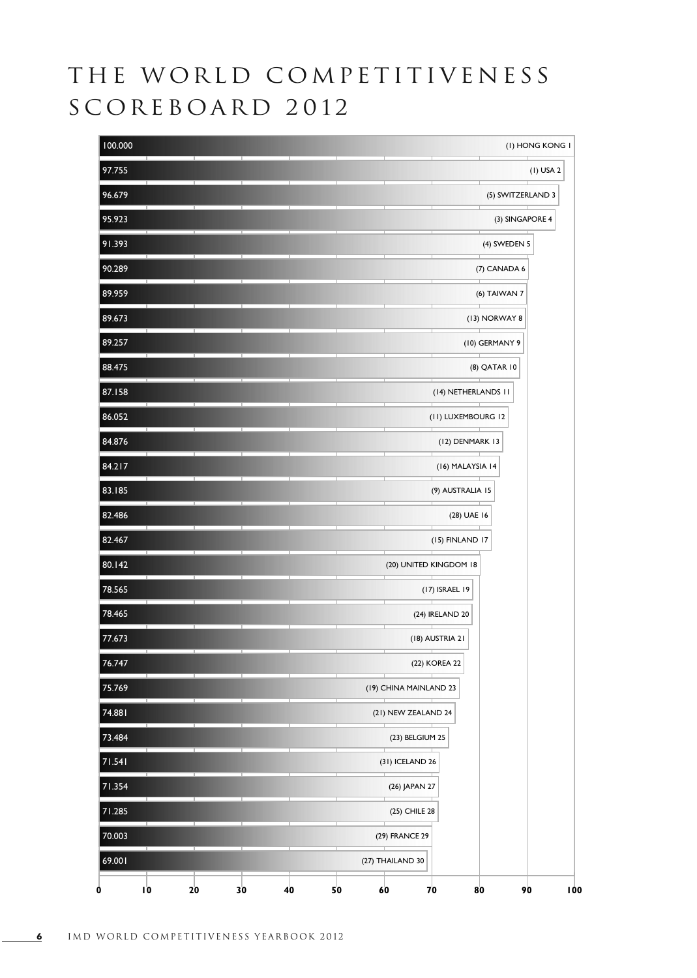## THE WORLD COMPETITIVENESS SCOREBOARD 2012

| 100.000                   | (I) HONG KONG I                   |  |  |  |  |  |  |  |
|---------------------------|-----------------------------------|--|--|--|--|--|--|--|
| 97.755                    | $(I)$ USA 2                       |  |  |  |  |  |  |  |
| 96.679                    | (5) SWITZERLAND 3                 |  |  |  |  |  |  |  |
| 95.923                    | (3) SINGAPORE 4                   |  |  |  |  |  |  |  |
| 91.393                    | (4) SWEDEN 5                      |  |  |  |  |  |  |  |
| 90.289                    | (7) CANADA 6                      |  |  |  |  |  |  |  |
| 89.959                    | (6) TAIWAN 7                      |  |  |  |  |  |  |  |
| 89.673                    | (13) NORWAY 8                     |  |  |  |  |  |  |  |
| 89.257                    | (10) GERMANY 9                    |  |  |  |  |  |  |  |
| 88.475                    | (8) QATAR 10                      |  |  |  |  |  |  |  |
| 87.158                    | (14) NETHERLANDS 11               |  |  |  |  |  |  |  |
| 86.052                    | (II) LUXEMBOURG 12                |  |  |  |  |  |  |  |
| 84.876                    | (12) DENMARK 13                   |  |  |  |  |  |  |  |
| 84.217                    | (16) MALAYSIA 14                  |  |  |  |  |  |  |  |
| 83.185                    | (9) AUSTRALIA 15                  |  |  |  |  |  |  |  |
| 82.486                    | (28) UAE 16                       |  |  |  |  |  |  |  |
| ⊤<br>82.467               | (15) FINLAND 17                   |  |  |  |  |  |  |  |
| 80.142                    | (20) UNITED KINGDOM 18            |  |  |  |  |  |  |  |
| 78.565                    | (17) ISRAEL 19                    |  |  |  |  |  |  |  |
| 78.465                    | (24) IRELAND 20                   |  |  |  |  |  |  |  |
| 77.673                    | (18) AUSTRIA 21                   |  |  |  |  |  |  |  |
| 76.747                    | (22) KOREA 22                     |  |  |  |  |  |  |  |
| 75.769                    | (19) CHINA MAINLAND 23            |  |  |  |  |  |  |  |
| 74.881                    | (21) NEW ZEALAND 24               |  |  |  |  |  |  |  |
| 73.484                    | (23) BELGIUM 25                   |  |  |  |  |  |  |  |
| 71.541                    | (31) ICELAND 26                   |  |  |  |  |  |  |  |
| 71.354                    | (26) JAPAN 27                     |  |  |  |  |  |  |  |
| 71.285                    | (25) CHILE 28                     |  |  |  |  |  |  |  |
| 70.003                    | (29) FRANCE 29                    |  |  |  |  |  |  |  |
| 69.001                    | (27) THAILAND 30                  |  |  |  |  |  |  |  |
| IO<br>20<br>30<br>40<br>0 | 70<br>50<br>60<br>80<br>90<br>100 |  |  |  |  |  |  |  |